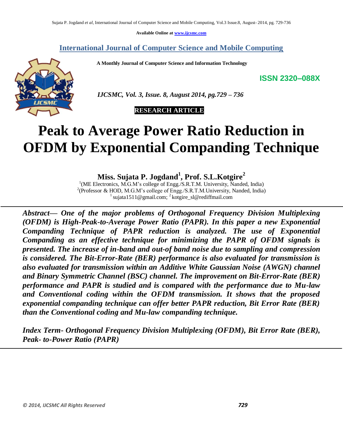**Available Online at www.ijcsmc.com**

# **International Journal of Computer Science and Mobile Computing**

 **A Monthly Journal of Computer Science and Information Technology**

**ISSN 2320–088X**



 *IJCSMC, Vol. 3, Issue. 8, August 2014, pg.729 – 736*

 **RESEARCH ARTICLE**

# **Peak to Average Power Ratio Reduction in OFDM by Exponential Companding Technique**

**Miss. Sujata P. Jogdand<sup>1</sup> , Prof. S.L.Kotgire<sup>2</sup>**

<sup>1</sup>(ME Electronics, M.G.M's college of Engg./S.R.T.M. University, Nanded, India) <sup>2</sup>(Professor & HOD, M.G.M's college of Engg./S.R.T.M.University, Nanded, India) 1 sujata1511@gmail.com; <sup>2</sup>kotgire\_sl@rediffmail.com

*Abstract— One of the major problems of Orthogonal Frequency Division Multiplexing (OFDM) is High-Peak-to-Average Power Ratio (PAPR). In this paper a new Exponential Companding Technique of PAPR reduction is analyzed. The use of Exponential Companding as an effective technique for minimizing the PAPR of OFDM signals is presented. The increase of in-band and out-of band noise due to sampling and compression is considered. The Bit-Error-Rate (BER) performance is also evaluated for transmission is also evaluated for transmission within an Additive White Gaussian Noise (AWGN) channel and Binary Symmetric Channel (BSC) channel. The improvement on Bit-Error-Rate (BER) performance and PAPR is studied and is compared with the performance due to Mu-law and Conventional coding within the OFDM transmission. It shows that the proposed exponential companding technique can offer better PAPR reduction, Bit Error Rate (BER) than the Conventional coding and Mu-law companding technique.*

*Index Term- Orthogonal Frequency Division Multiplexing (OFDM), Bit Error Rate (BER), Peak- to-Power Ratio (PAPR)*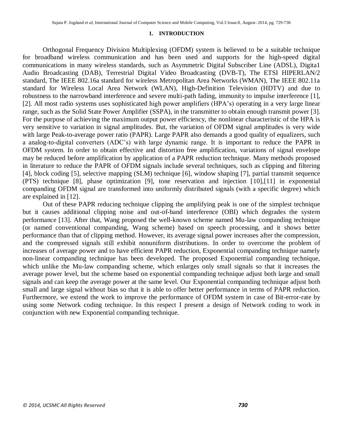#### **1. INTRODUCTION**

Orthogonal Frequency Division Multiplexing (OFDM) system is believed to be a suitable technique for broadband wireless communication and has been used and supports for the high-speed digital communications in many wireless standards, such as Asymmetric Digital Subscriber Line (ADSL), Digita1 Audio Broadcasting (DAB), Terrestrial Digital Video Broadcasting (DVB-T), The ETSI HIPERLAN/2 standard, The IEEE 802.16a standard for wireless Metropolitan Area Networks (WMAN), The IEEE 802.11a standard for Wireless Local Area Network (WLAN), High-Definition Television (HDTV) and due to robustness to the narrowband interference and severe multi-path fading, immunity to impulse interference [1], [2]. All most radio systems uses sophisticated high power amplifiers (HPA's) operating in a very large linear range, such as the Solid State Power Amplifier (SSPA), in the transmitter to obtain enough transmit power [3]. For the purpose of achieving the maximum output power efficiency, the nonlinear characteristic of the HPA is very sensitive to variation in signal amplitudes. But, the variation of OFDM signal amplitudes is very wide with large Peak-to-average power ratio (PAPR). Large PAPR also demands a good quality of equalizers, such a analog-to-digital converters (ADC's) with large dynamic range. It is important to reduce the PAPR in OFDM system. In order to obtain effective and distortion free amplification, variations of signal envelope may be reduced before amplification by application of a PAPR reduction technique. Many methods proposed in literature to reduce the PAPR of OFDM signals include several techniques, such as clipping and filtering [4], block coding [5], selective mapping (SLM) technique [6], window shaping [7], partial transmit sequence (PTS) technique [8], phase optimization [9], tone reservation and injection [10],[11] in exponential companding OFDM signal are transformed into uniformly distributed signals (with a specific degree) which are explained in [12].

Out of these PAPR reducing technique clipping the amplifying peak is one of the simplest technique but it causes additional clipping noise and out-of-band interference (OBI) which degrades the system performance [13]. After that, Wang proposed the well-known scheme named Mu-law companding technique (or named conventional companding, Wang scheme) based on speech processing, and it shows better performance than that of clipping method. However, its average signal power increases after the compression, and the compressed signals still exhibit nonuniform distributions. In order to overcome the problem of increases of average power and to have efficient PAPR reduction, Exponential companding technique namely non-linear companding technique has been developed. The proposed Exponential companding technique, which unlike the Mu-law companding scheme, which enlarges only small signals so that it increases the average power level, but the scheme based on exponential companding technique adjust both large and small signals and can keep the average power at the same level. Our Exponential companding technique adjust both small and large signal without bias so that it is able to offer better performance in terms of PAPR reduction. Furthermore, we extend the work to improve the performance of OFDM system in case of Bit-error-rate by using some Network coding technique. In this respect I present a design of Network coding to work in conjunction with new Exponential companding technique.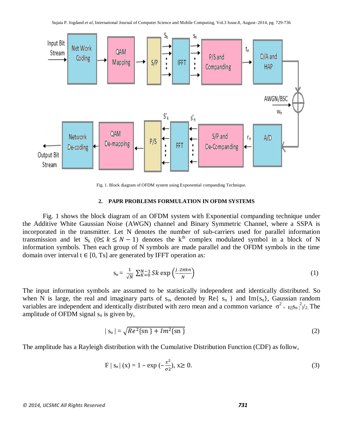

Fig. 1. Block diagram of OFDM system using Exponential companding Technique.

#### **2. PAPR PROBLEMS FORMULATION IN OFDM SYSTEMS**

Fig. 1 shows the block diagram of an OFDM system with Exponential companding technique under the Additive White Gaussian Noise (AWGN) channel and Binary Symmetric Channel, where a SSPA is incorporated in the transmitter. Let N denotes the number of sub-carriers used for parallel information transmission and let  $S_k$  ( $0 \le k \le N - 1$ ) denotes the k<sup>th</sup> complex modulated symbol in a block of N information symbols. Then each group of N symbols are made parallel and the OFDM symbols in the time domain over interval  $t \in [0, T_s]$  are generated by IFFT operation as:

$$
s_n = \frac{1}{\sqrt{N}} \sum_{K=0}^{N-1} Sk \exp\left(\frac{j \cdot 2\pi k n}{N}\right) \tag{1}
$$

The input information symbols are assumed to be statistically independent and identically distributed. So when N is large, the real and imaginary parts of  $s_n$ , denoted by Re{  $s_n$  } and Im{ $s_n$ }, Gaussian random variables are independent and identically distributed with zero mean and a common variance  $\sigma^2 = E[S_n|^2]/2$ . The amplitude of OFDM signal  $s_n$  is given by,

$$
|s_n| = \sqrt{Re^2 \{sn\} + Im^2 \{sn\}}
$$
 (2)

The amplitude has a Rayleigh distribution with the Cumulative Distribution Function (CDF) as follow,

$$
F | s_n | (x) = 1 - \exp(-\frac{x^2}{\sigma^2}), x \ge 0.
$$
 (3)

#### *© 2014, IJCSMC All Rights Reserved 731*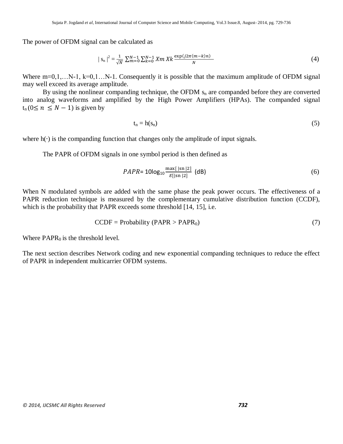The power of OFDM signal can be calculated as

$$
|S_n|^2 = \frac{1}{\sqrt{N}} \sum_{m=0}^{N-1} \sum_{k=0}^{N-1} X_m X_k \frac{\exp(j2\pi(m-k)n)}{N}
$$
(4)

Where  $m=0,1,...N-1$ ,  $k=0,1...N-1$ . Consequently it is possible that the maximum amplitude of OFDM signal may well exceed its average amplitude.

By using the nonlinear companding technique, the OFDM  $s_n$  are companded before they are converted into analog waveforms and amplified by the High Power Amplifiers (HPAs). The companded signal  $t_n (0 \le n \le N - 1)$  is given by

$$
t_n = h(s_n) \tag{5}
$$

where  $h(\cdot)$  is the companding function that changes only the amplitude of input signals.

The PAPR of OFDM signals in one symbol period is then defined as

$$
PAPR = 10\log_{10}\frac{\max[|sn|2]}{E[|sn|2]} \text{ (dB)} \tag{6}
$$

When N modulated symbols are added with the same phase the peak power occurs. The effectiveness of a PAPR reduction technique is measured by the complementary cumulative distribution function (CCDF), which is the probability that PAPR exceeds some threshold [14, 15], i.e.

$$
CCDF = Probability (PAPR > PAPR0)
$$
 (7)

Where  $PAPR<sub>0</sub>$  is the threshold level.

The next section describes Network coding and new exponential companding techniques to reduce the effect of PAPR in independent multicarrier OFDM systems.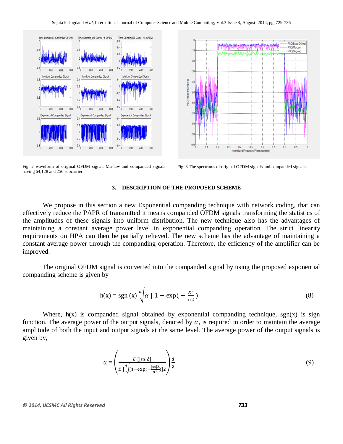

Fig. 2 waveform of original OFDM signal, Mu-law and companded signals having 64,128 and 256 subcarrier.



Fig. 3 The spectrums of original OFDM signals and companded signals.

## **3. DESCRIPTION OF THE PROPOSED SCHEME**

We propose in this section a new Exponential companding technique with network coding, that can effectively reduce the PAPR of transmitted it means companded OFDM signals transforming the statistics of the amplitudes of these signals into uniform distribution. The new technique also has the advantages of maintaining a constant average power level in exponential companding operation. The strict linearity requirements on HPA can then be partially relieved. The new scheme has the advantage of maintaining a constant average power through the companding operation. Therefore, the efficiency of the amplifier can be improved.

The original OFDM signal is converted into the companded signal by using the proposed exponential companding scheme is given by

$$
h(x) = sgn(x) \sqrt[d]{\alpha \left[1 - exp(-\frac{x^2}{\sigma^2})\right]}
$$
 (8)

Where,  $h(x)$  is companded signal obtained by exponential companding technique, sgn(x) is sign function. The average power of the output signals, denoted by  $\alpha$ , is required in order to maintain the average amplitude of both the input and output signals at the same level. The average power of the output signals is given by,

$$
\alpha = \left(\frac{E\left[|\text{sn}|2\right]}{E\left[\sqrt[d]{\left[1-\exp(-\frac{|\text{sn}|2}{\sigma_2})\right]2}}\right)\frac{d}{2}\tag{9}
$$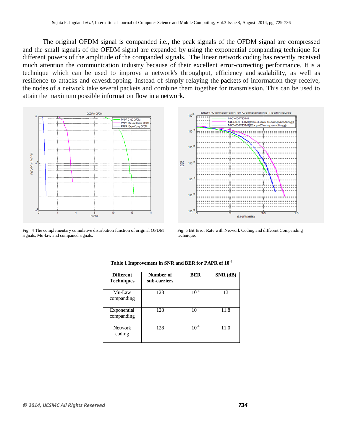The original OFDM signal is companded i.e., the peak signals of the OFDM signal are compressed and the small signals of the OFDM signal are expanded by using the exponential companding technique for different powers of the amplitude of the companded signals. The linear network coding has recently received much attention the communication industry because of their excellent error-correcting performance. It is a technique which can be used to improve a network's throughput, efficiency and [scalability,](http://en.wikipedia.org/wiki/Scalability) as well as resilience to attacks and eavesdropping. Instead of simply relaying the [packets](http://en.wikipedia.org/wiki/Packet_(information_technology)) of information they receive, the [nodes](http://en.wikipedia.org/wiki/Node_(networking)) of a network take several packets and combine them together for transmission. This can be used to attain the maximum possible [information](http://en.wikipedia.org/wiki/Information) [flow](http://en.wikipedia.org/wiki/Flow_network) in a [network.](http://en.wikipedia.org/wiki/Network_theory)



Fig. 4 The complementary cumulative distribution function of original OFDM signals, Mu-law and companed signals.



Fig. 5 Bit Error Rate with Network Coding and different Companding technique.

| <b>Different</b><br><b>Techniques</b> | Number of<br>sub-carriers | <b>BER</b> | SNR (dB) |
|---------------------------------------|---------------------------|------------|----------|
| Mu-Law<br>companding                  | 128                       | $10^{-4}$  | 13       |
| Exponential<br>companding             | 128                       | $10^{-4}$  | 11.8     |
| Network<br>coding                     | 128                       | $10^{-4}$  | 11.0     |

**Table 1 Improvement in SNR and BER for PAPR of 10-4**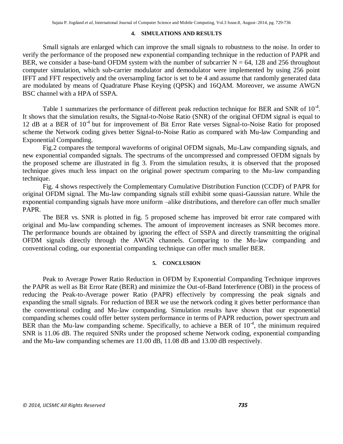## **4. SIMULATIONS AND RESULTS**

Small signals are enlarged which can improve the small signals to robustness to the noise. In order to verify the performance of the proposed new exponential companding technique in the reduction of PAPR and BER, we consider a base-band OFDM system with the number of subcarrier  $N = 64$ , 128 and 256 throughout computer simulation, which sub-carrier modulator and demodulator were implemented by using 256 point IFFT and FFT respectively and the oversampling factor is set to be 4 and assume that randomly generated data are modulated by means of Quadrature Phase Keying (QPSK) and 16QAM. Moreover, we assume AWGN BSC channel with a HPA of SSPA.

Table 1 summarizes the performance of different peak reduction technique for BER and SNR of  $10^{-4}$ . It shows that the simulation results, the Signal-to-Noise Ratio (SNR) of the original OFDM signal is equal to 12 dB at a BER of 10<sup>-4</sup> but for improvement of Bit Error Rate verses Signal-to-Noise Ratio for proposed scheme the Network coding gives better Signal-to-Noise Ratio as compared with Mu-law Companding and Exponential Companding.

Fig.2 compares the temporal waveforms of original OFDM signals, Mu-Law companding signals, and new exponential companded signals. The spectrums of the uncompressed and compressed OFDM signals by the proposed scheme are illustrated in fig 3. From the simulation results, it is observed that the proposed technique gives much less impact on the original power spectrum comparing to the Mu-law companding technique.

Fig. 4 shows respectively the Complementary Cumulative Distribution Function (CCDF) of PAPR for original OFDM signal. The Mu-law companding signals still exhibit some quasi-Gaussian nature. While the exponential companding signals have more uniform –alike distributions, and therefore can offer much smaller PAPR.

The BER vs. SNR is plotted in fig. 5 proposed scheme has improved bit error rate compared with original and Mu-law companding schemes. The amount of improvement increases as SNR becomes more. The performance bounds are obtained by ignoring the effect of SSPA and directly transmitting the original OFDM signals directly through the AWGN channels. Comparing to the Mu-law companding and conventional coding, our exponential companding technique can offer much smaller BER.

# **5. CONCLUSION**

Peak to Average Power Ratio Reduction in OFDM by Exponential Companding Technique improves the PAPR as well as Bit Error Rate (BER) and minimize the Out-of-Band Interference (OBI) in the process of reducing the Peak-to-Average power Ratio (PAPR) effectively by compressing the peak signals and expanding the small signals. For reduction of BER we use the network coding it gives better performance than the conventional coding and Mu-law companding. Simulation results have shown that our exponential companding schemes could offer better system performance in terms of PAPR reduction, power spectrum and BER than the Mu-law companding scheme. Specifically, to achieve a BER of  $10^{-4}$ , the minimum required SNR is 11.06 dB. The required SNRs under the proposed scheme Network coding, exponential companding and the Mu-law companding schemes are 11.00 dB, 11.08 dB and 13.00 dB respectively.